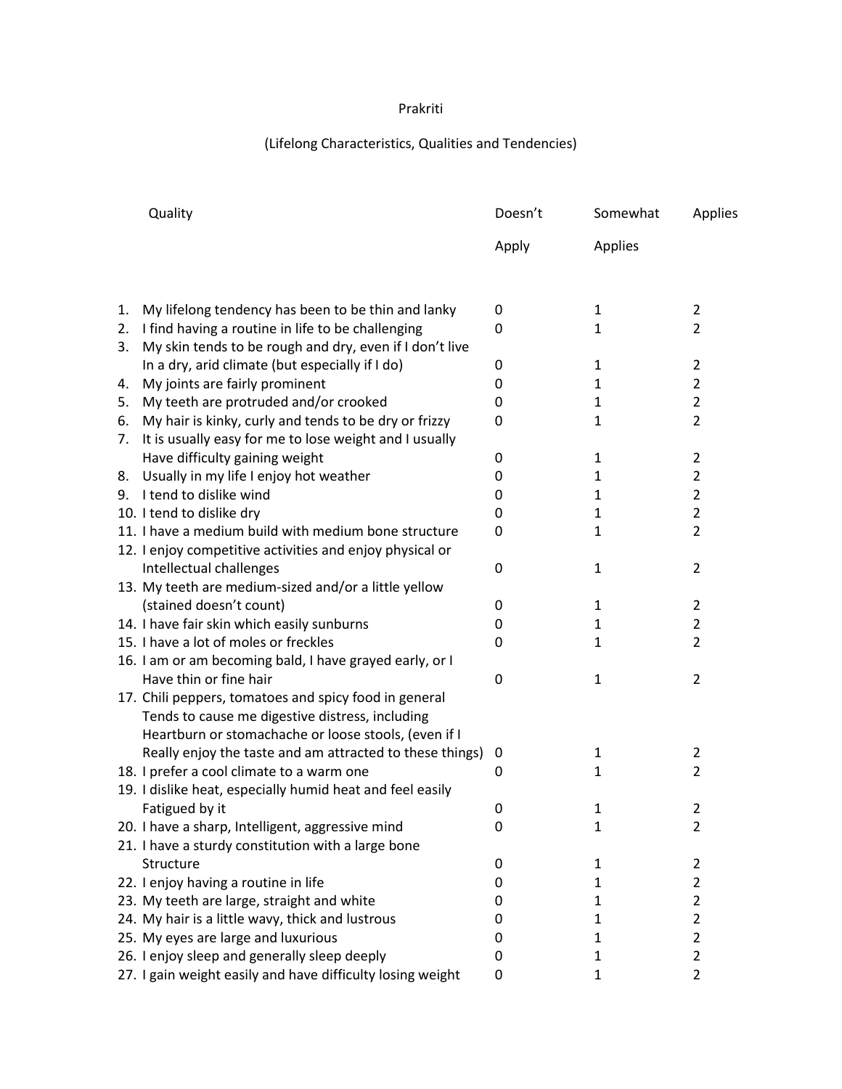## Prakriti

## (Lifelong Characteristics, Qualities and Tendencies)

|    | Quality                                                    | Doesn't      | Somewhat     | Applies        |
|----|------------------------------------------------------------|--------------|--------------|----------------|
|    |                                                            | Apply        | Applies      |                |
| 1. | My lifelong tendency has been to be thin and lanky         | 0            | 1            | $\overline{2}$ |
| 2. | I find having a routine in life to be challenging          | 0            | 1            | $\overline{2}$ |
| 3. | My skin tends to be rough and dry, even if I don't live    |              |              |                |
|    | In a dry, arid climate (but especially if I do)            | 0            | $\mathbf{1}$ | $\overline{2}$ |
| 4. | My joints are fairly prominent                             | 0            | $\mathbf{1}$ | $\overline{2}$ |
| 5. | My teeth are protruded and/or crooked                      | 0            | 1            | $\overline{2}$ |
| 6. | My hair is kinky, curly and tends to be dry or frizzy      | 0            | $\mathbf{1}$ | $\overline{2}$ |
| 7. | It is usually easy for me to lose weight and I usually     |              |              |                |
|    | Have difficulty gaining weight                             | 0            | $\mathbf{1}$ | $\overline{2}$ |
| 8. | Usually in my life I enjoy hot weather                     | 0            | 1            | $\overline{2}$ |
|    | 9. I tend to dislike wind                                  | 0            | $\mathbf{1}$ | $\overline{2}$ |
|    | 10. I tend to dislike dry                                  | $\mathbf{0}$ | $\mathbf{1}$ | $\overline{2}$ |
|    | 11. I have a medium build with medium bone structure       | 0            | $\mathbf{1}$ | $\overline{2}$ |
|    | 12. I enjoy competitive activities and enjoy physical or   |              |              |                |
|    | Intellectual challenges                                    | 0            | 1            | $\overline{2}$ |
|    | 13. My teeth are medium-sized and/or a little yellow       |              |              |                |
|    | (stained doesn't count)                                    | 0            | $\mathbf{1}$ | $\overline{2}$ |
|    | 14. I have fair skin which easily sunburns                 | $\Omega$     | 1            | $\overline{2}$ |
|    | 15. I have a lot of moles or freckles                      | 0            | $\mathbf{1}$ | $\overline{2}$ |
|    | 16. I am or am becoming bald, I have grayed early, or I    |              |              |                |
|    | Have thin or fine hair                                     | 0            | $\mathbf{1}$ | $\overline{2}$ |
|    | 17. Chili peppers, tomatoes and spicy food in general      |              |              |                |
|    | Tends to cause me digestive distress, including            |              |              |                |
|    | Heartburn or stomachache or loose stools, (even if I       |              |              |                |
|    | Really enjoy the taste and am attracted to these things)   | 0            | 1            | 2              |
|    | 18. I prefer a cool climate to a warm one                  | 0            | $\mathbf{1}$ | $\overline{2}$ |
|    | 19. I dislike heat, especially humid heat and feel easily  |              |              |                |
|    | Fatigued by it                                             | $\mathbf 0$  | 1            | $\overline{2}$ |
|    | 20. I have a sharp, Intelligent, aggressive mind           | 0            | 1            | 2              |
|    | 21. I have a sturdy constitution with a large bone         |              |              |                |
|    | Structure                                                  | 0            | 1            | $\overline{2}$ |
|    | 22. I enjoy having a routine in life                       | 0            | 1            | $\overline{2}$ |
|    | 23. My teeth are large, straight and white                 | 0            | 1            | 2              |
|    | 24. My hair is a little wavy, thick and lustrous           | 0            | 1            | $\overline{2}$ |
|    | 25. My eyes are large and luxurious                        | 0            | 1            | $\overline{2}$ |
|    | 26. I enjoy sleep and generally sleep deeply               | 0            | 1            | $\overline{2}$ |
|    | 27. I gain weight easily and have difficulty losing weight | 0            | $\mathbf{1}$ | $\overline{2}$ |